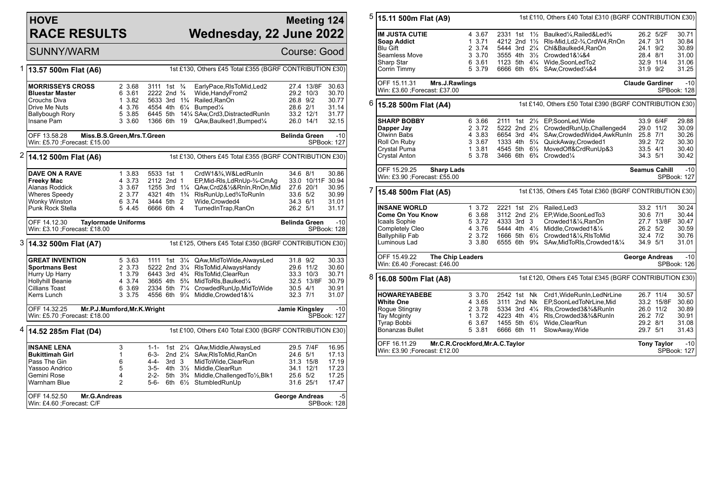## **HOVE RACE RESULTS**

## **Meeting 124 Wednesday, 22 June 2022**

SUNNY/WARM Course: Good

| 1                                                                                    | 13.57 500m Flat (A6)                                                         | 1st £130, Others £45 Total £355 (BGRF CONTRIBUTION £30) |                                                                                                                        |                  |                                   |                                                                  |                      |                         |                             |  |
|--------------------------------------------------------------------------------------|------------------------------------------------------------------------------|---------------------------------------------------------|------------------------------------------------------------------------------------------------------------------------|------------------|-----------------------------------|------------------------------------------------------------------|----------------------|-------------------------|-----------------------------|--|
|                                                                                      | <b>MORRISSEYS CROSS</b><br><b>Bluestar Master</b><br>Crouchs Diva            | 2 3.68<br>6 3.61<br>1 3.82                              | 3111 1st <sup>3</sup> / <sub>4</sub><br>2222 2nd <sup>3</sup> / <sub>4</sub><br>5633 3rd 1 <sup>3</sup> / <sub>4</sub> |                  |                                   | EarlyPace, RIsToMid, Led2<br>Wide, Handy From 2<br>Railed, RanOn | 26.8 9/2             | 27.4 13/8F<br>29.2 10/3 | 30.63<br>30.70<br>30.77     |  |
|                                                                                      | Drive Me Nuts                                                                | 4 3.76                                                  |                                                                                                                        |                  |                                   | 4554 4th 61/4 Bumped1/4                                          | 28.6 2/1             |                         | 31.14                       |  |
|                                                                                      | Ballybough Rory                                                              | 5 3.85                                                  | 6445 5th                                                                                                               |                  |                                   | 141/4 SAw, Crd3, Distracted RunIn                                | 33.2 12/1            |                         | 31.77                       |  |
|                                                                                      | Insane Pam                                                                   | 3 3.60                                                  | 1366 6th                                                                                                               |                  | - 19                              | QAw, Baulked 1, Bumped 1/4                                       | 26.0 14/1            |                         | 32.15                       |  |
|                                                                                      |                                                                              |                                                         |                                                                                                                        |                  |                                   |                                                                  |                      |                         |                             |  |
|                                                                                      | OFF 13.58.28<br>Win: £5.70 ; Forecast: £15.00                                | Miss.B.S.Green, Mrs.T.Green                             |                                                                                                                        |                  |                                   |                                                                  |                      |                         | $-10$<br>SPBook: 127        |  |
|                                                                                      |                                                                              |                                                         |                                                                                                                        |                  |                                   |                                                                  |                      |                         |                             |  |
| 2<br>1st £130, Others £45 Total £355 (BGRF CONTRIBUTION £30)<br>14.12 500m Flat (A6) |                                                                              |                                                         |                                                                                                                        |                  |                                   |                                                                  |                      |                         |                             |  |
|                                                                                      | DAVE ON A RAVE                                                               | 1 3.83                                                  | 5533 1st 1                                                                                                             |                  |                                   | CrdW1&3⁄4, W&LedRunIn                                            | 34.6 8/1             |                         | 30.86                       |  |
|                                                                                      | <b>Freeky Mac</b>                                                            | 4 3.73                                                  | 2112 2nd 1                                                                                                             |                  |                                   | EP, Mid-RIs, LdRnUp-3/4-CmAg                                     |                      | 33.0 10/11F 30.94       |                             |  |
|                                                                                      | Alanas Roddick                                                               | 3 3.67                                                  | 1255 3rd 11/4                                                                                                          |                  |                                   | QAw,Crd2&1/2&RnIn,RnOn,Mid                                       | 27.6 20/1            |                         | 30.95                       |  |
|                                                                                      | <b>Wheres Speedy</b>                                                         | 2 3.77                                                  | 4321 4th 1 <sup>3</sup> / <sub>4</sub>                                                                                 |                  |                                   | RIsRunUp, Led <sup>3</sup> / <sub>4</sub> ToRunIn                | 33.6 5/2             |                         | 30.99                       |  |
|                                                                                      | Wonky Winston                                                                | 6 3.74                                                  | 3444 5th 2                                                                                                             |                  |                                   | Wide, Crowded4                                                   | 34.3 6/1             |                         | 31.01                       |  |
|                                                                                      | Punk Rock Stella                                                             | 5 4.45                                                  | 6666 6th 4                                                                                                             |                  |                                   | TurnedInTrap, RanOn                                              | 26.2 5/1             |                         | 31.17                       |  |
|                                                                                      | OFF 14.12.30<br>Win: £3.10 ; Forecast: £18.00                                | <b>Taylormade Uniforms</b>                              |                                                                                                                        |                  |                                   |                                                                  | <b>Belinda Green</b> |                         | $-10$<br><b>SPBook: 128</b> |  |
|                                                                                      |                                                                              |                                                         |                                                                                                                        |                  |                                   |                                                                  |                      |                         |                             |  |
|                                                                                      | 3 14.32 500m Flat (A7)                                                       |                                                         |                                                                                                                        |                  |                                   | 1st £125, Others £45 Total £350 (BGRF CONTRIBUTION £30)          |                      |                         |                             |  |
|                                                                                      | <b>GREAT INVENTION</b>                                                       | 5 3.63                                                  |                                                                                                                        |                  |                                   | 1111 1st 31/4 QAw, Mid To Wide, Always Led                       | 31.8 9/2             |                         | 30.33                       |  |
|                                                                                      | <b>Sportmans Best</b>                                                        | 2 3.73                                                  | 5222 2nd 31/4                                                                                                          |                  |                                   | RIsToMid, AlwaysHandy                                            |                      | 29.6 11/2               | 30.60                       |  |
|                                                                                      | Hurry Up Harry                                                               | 1 3.79                                                  | 6443 3rd 4 <sup>3</sup> / <sub>4</sub>                                                                                 |                  |                                   | RIsToMid.ClearRun                                                |                      | 33.3 10/3               | 30.71                       |  |
|                                                                                      | Hollyhill Beanie                                                             | 4 3.74                                                  | 3665 4th 5 <sup>3</sup> / <sub>4</sub>                                                                                 |                  |                                   | MidToRIs, Baulked1/4                                             |                      | 32.5 13/8F              | 30.79                       |  |
|                                                                                      | Cillians Toast                                                               | 6 3.69                                                  |                                                                                                                        |                  |                                   | 2334 5th 71/4 CrowdedRunUp, MidToWide                            | $30.5$ 4/1           |                         | 30.91                       |  |
|                                                                                      | Kerrs Lunch                                                                  | 3 3.75                                                  | 4556 6th 9¼                                                                                                            |                  |                                   | Middle, Crowded 1&1/4                                            | 32.3 7/1             |                         | 31.07                       |  |
|                                                                                      | Mr.P.J.Mumford, Mr.K.Wright<br>OFF 14.32.25<br>Win: £5.70 ; Forecast: £18.00 |                                                         |                                                                                                                        |                  |                                   |                                                                  |                      | Jamie Kingsley          | $-10$<br>SPBook: 127        |  |
|                                                                                      |                                                                              |                                                         |                                                                                                                        |                  |                                   |                                                                  |                      |                         |                             |  |
| 4                                                                                    | 14.52 285m Flat (D4)                                                         |                                                         |                                                                                                                        |                  |                                   | 1st £100, Others £40 Total £300 (BGRF CONTRIBUTION £30)          |                      |                         |                             |  |
|                                                                                      | <b>INSANE LENA</b>                                                           | 3                                                       | 1-1-                                                                                                                   | 1st              |                                   | 21/4 QAw, Middle, Always Led                                     |                      | 29.5 7/4F               | 16.95                       |  |
|                                                                                      | <b>Bukittimah Girl</b>                                                       | 1                                                       | 6-3-                                                                                                                   |                  | 2nd $2\frac{1}{4}$                | SAw, RIs To Mid, RanOn                                           | 24.6 5/1             |                         | 17.13                       |  |
|                                                                                      | Pass The Gin                                                                 | 6                                                       | 4-4-                                                                                                                   | 3rd <sub>3</sub> |                                   | MidToWide, ClearRun                                              |                      | 31.3 15/8               | 17.19                       |  |
|                                                                                      | Yassoo Andrico                                                               | 5                                                       | 3-5-                                                                                                                   |                  | 4th $3\frac{1}{2}$                | Middle, ClearRun                                                 |                      | 34.1 12/1               | 17.23                       |  |
|                                                                                      | Gemini Rose                                                                  | 4                                                       | 2-2-                                                                                                                   |                  | 5th 3 <sup>3</sup> / <sub>4</sub> | Middle, Challenged To 1/2, Blk1                                  | 25.6 5/2             |                         | 17.25                       |  |
|                                                                                      |                                                                              |                                                         |                                                                                                                        |                  |                                   |                                                                  |                      |                         |                             |  |
|                                                                                      | Warnham Blue                                                                 | $\overline{2}$                                          | 5-6-                                                                                                                   |                  |                                   | 6th 61/ <sub>2</sub> StumbledRunUp                               |                      | 31.6 25/1               | 17.47                       |  |

5 **15.11 500m Flat (A9)** 1st £110, Others £40 Total £310 (BGRF CONTRIBUTION £30) **IM JUSTA CUTIE** 4 3.67 2331 1st 1½ Baulked¼,Railed&Led¾ 26.2 5/2F 30.71<br>Soap Addict 1 3.71 4212 2nd 1½ Rls-Mid,Ld2-¾,CrdW4,RnOn 24.7 3/1 30.84 **Soap Addict** 1 3.71 4212 2nd 1½ Rls-Mid,Ld2-¾,CrdW4,RnOn 24.7 3/1 30.84 Blu Gift 2 3.74 5444 3rd 2¼ Chl&Baulked4,RanOn 24.1 9/2 30.89 Seamless Move 3 3.70 3555 4th 3½ Crowded1&¼&4 28.4 8/1 31.00 Sharp Star 6 3.61 1123 5th 4¼ Wide,SoonLedTo2 32.9 11/4 31.06 5 3.79 6666 6th 6<sup>3</sup>/<sub>4</sub> SAw,Crowded<sup>1</sup>/<sub>4</sub>&4 31.9 9/2 31.25 OFF 15.11.31 **Mrs.J.Rawlings** Win: £3.60 ;Forecast: £37.00 **Claude Gardiner** -10 SPBook: 128 6 **15.28 500m Flat (A4)** 1st £140, Others £50 Total £390 (BGRF CONTRIBUTION £30) **SHARP BOBBY** 6 3.66 2111 1st 2<sup>1</sup>/<sub>2</sub> EP,SoonLed,Wide 33.9 6/4F 29.88<br> **Dapper Jay** 2 3.72 5222 2nd 2<sup>1</sup>/<sub>2</sub> CrowdedRunUp,Challenged4 29.0 11/2 30.09 **Dapper Jay** 2 3.72 5222 2nd 2½ CrowdedRunUp,Challenged4 29.0 11/2 30.09 Olwinn Babs 4 3.83 6654 3rd 4¾ SAw,CrowdedWide4,AwkRunIn 25.8 7/1 30.26 Roll On Ruby 3 3.67 1333 4th 5¼ QuickAway,Crowded1 39.2 7/2 30.30 1 3.81 4545 5th 6½ MovedOff&CrdRunUp&3 Crystal Anton 5 3.78 3466 6th 6¾ Crowded¼ 34.3 5/1 30.42 OFF 15.29.25 **Sharp Lads** Win: £3.90 ;Forecast: £55.00 **Seamus Cahill** -10 SPBook: 127 7 **15.48 500m Flat (A5)** 1st £135, Others £45 Total £360 (BGRF CONTRIBUTION £30) **INSANE WORLD** 1 3.72 2221 1st 2½ Railed,Led3 33.2 11/1 30.24 **Come On You Know** 6 3.68 3112 2nd 2½ EP,Wide,SoonLedTo3 30.6 7/1 30.44 Icaals Sophie 5 3.72 4333 3rd 3 Crowded1&¼,RanOn 27.7 13/8F 30.47 Completely Cleo 4 3.76 5444 4th 4½ Middle,Crowded1&¼ 26.2 5/2 30.59<br>Ballyphilip Fab 2 3.72 1666 5th 6½ Crowded1&¼,RIsToMid 2 3.72 1666 5th 61/2 Crowded1&1/4,RlsToMid Luminous Lad 3 3.80 6555 6th 9¾ SAw,MidToRls,Crowded1&¼ 34.9 5/1 31.01 OFF 15.49.22 **The Chip Leaders** Win: £6.40 ;Forecast: £46.00 **George Andreas** -10 SPBook: 126 8 **16.08 500m Flat (A8)** 1st £120, Others £45 Total £345 (BGRF CONTRIBUTION £30) **HOWAREYABEBE** 3 3.70 2542 1st Nk Crd1,WideRunIn,LedNrLine 26.7 11/4 30.57 **White One** 4 3.65 3111 2nd Nk EP,SoonLedToNrLine,Mid 33.2 15/8F 30.60<br>Rogue Stingray 2 3.78 5334 3rd 41/4 RIs.Crowded3&%&R Rogue Stingray 2 3.78 5334 3rd 4¼ Rls,Crowded3&¾&RunIn 26.0 11/2 30.89 Tay Mcginty  $\overline{1}$  1 3.72 4223 4th 41/2 Rls, Crowded 3&  $\frac{36}{4}$ & RunIn Tyrap Bobbi 6 3.67 1455 5th 6½ Wide,ClearRun 29.2 8/1 31.08 Bonanzas Bullet 5 3.81 6666 6th 11 SlowAway,Wide 29.7 5/1 31.43 OFF 16.11.29 **Mr.C.R.Crockford,Mr.A.C.Taylor** Win: £3.90 ;Forecast: £12.00 **Tony Taylor** -10 SPBook: 127